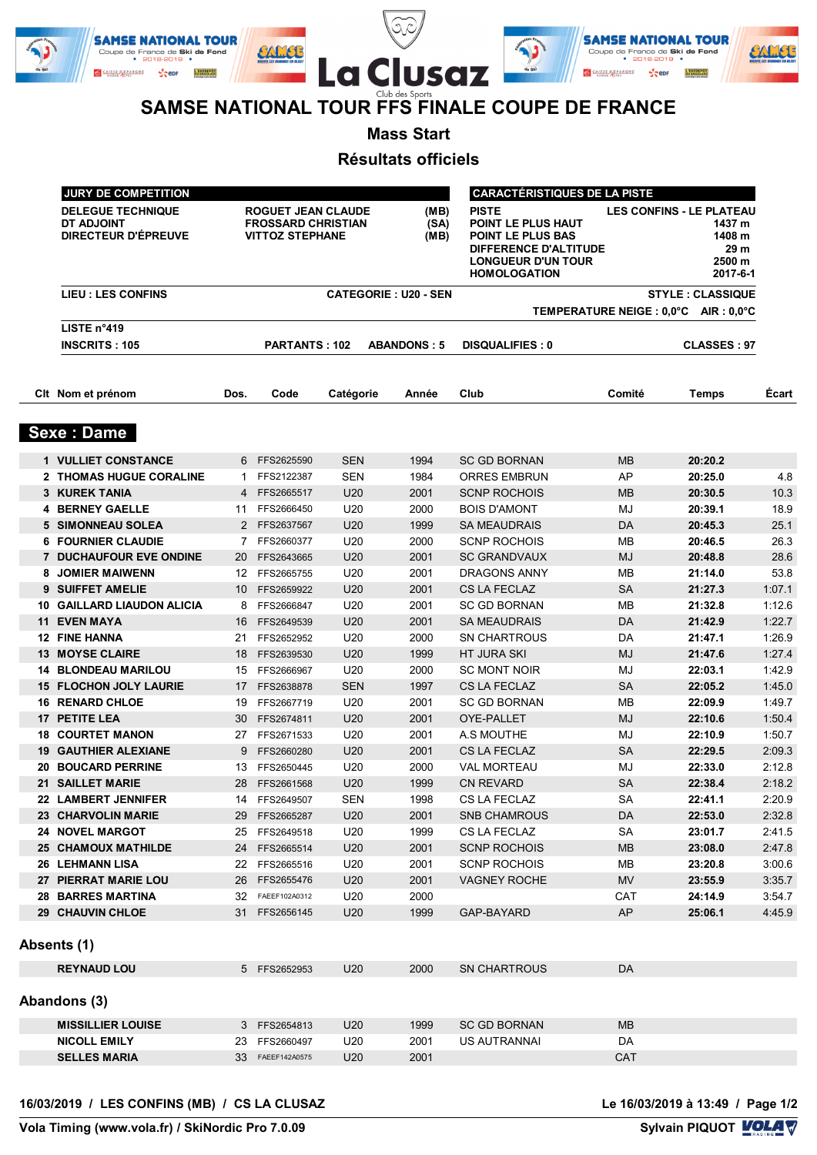|        | <b>SAMSE NATIONAL TOUR</b><br>Coupe de France de Ski de Fond<br>$\bullet$ 2018-2019 $\bullet$ | ືີ<br>∼                                        |        | <b>SAMSE NATIONAL TOUR</b><br>Coupe de France de Ski de Fond<br>$\cdot$ 2018-2019 $\cdot$ |  |
|--------|-----------------------------------------------------------------------------------------------|------------------------------------------------|--------|-------------------------------------------------------------------------------------------|--|
| de Ski | L'ENTREPOT<br><b>CAISSE D'EPARGNE</b><br>$\sim$ epr                                           | La Clusaz                                      | de Ski | L'ENTREPOT<br><b>CAISSE D'EPARGNE</b>                                                     |  |
|        |                                                                                               | Club des Sports                                |        |                                                                                           |  |
|        |                                                                                               | SAMSE NATIONAL TOUR FFS FINALE COUPE DE FRANCE |        |                                                                                           |  |

**Mass Start**

**Résultats officiels**

| JURY DE COMPETITION                                                         |                                       |                                                                                  |                         |                      | <b>CARACTÉRISTIQUES DE LA PISTE</b>                                                                                                  |           |                                                                                   |        |
|-----------------------------------------------------------------------------|---------------------------------------|----------------------------------------------------------------------------------|-------------------------|----------------------|--------------------------------------------------------------------------------------------------------------------------------------|-----------|-----------------------------------------------------------------------------------|--------|
| <b>DELEGUE TECHNIQUE</b><br><b>DT ADJOINT</b><br><b>DIRECTEUR D'ÉPREUVE</b> |                                       | <b>ROGUET JEAN CLAUDE</b><br><b>FROSSARD CHRISTIAN</b><br><b>VITTOZ STEPHANE</b> |                         | (MB)<br>(SA)<br>(MB) | <b>PISTE</b><br>POINT LE PLUS HAUT<br>POINT LE PLUS BAS<br>DIFFERENCE D'ALTITUDE<br><b>LONGUEUR D'UN TOUR</b><br><b>HOMOLOGATION</b> |           | <b>LES CONFINS - LE PLATEAU</b><br>1437 m<br>1408 m<br>29 m<br>2500 m<br>2017-6-1 |        |
| <b>LIEU : LES CONFINS</b>                                                   | <b>CATEGORIE: U20 - SEN</b>           |                                                                                  | <b>STYLE: CLASSIQUE</b> |                      |                                                                                                                                      |           |                                                                                   |        |
|                                                                             | TEMPERATURE NEIGE : 0,0°C AIR : 0,0°C |                                                                                  |                         |                      |                                                                                                                                      |           |                                                                                   |        |
| LISTE n°419                                                                 |                                       |                                                                                  |                         |                      |                                                                                                                                      |           |                                                                                   |        |
| <b>INSCRITS: 105</b>                                                        |                                       | <b>PARTANTS: 102</b>                                                             |                         | <b>ABANDONS: 5</b>   | <b>DISQUALIFIES: 0</b>                                                                                                               |           | <b>CLASSES: 97</b>                                                                |        |
| Cit Nom et prénom                                                           | Dos.                                  | Code                                                                             | Catégorie               | Année                | Club                                                                                                                                 | Comité    | <b>Temps</b>                                                                      | Écart  |
| <b>Sexe: Dame</b>                                                           |                                       |                                                                                  |                         |                      |                                                                                                                                      |           |                                                                                   |        |
| <b>1 VULLIET CONSTANCE</b>                                                  |                                       | 6 FFS2625590                                                                     | <b>SEN</b>              | 1994                 | <b>SC GD BORNAN</b>                                                                                                                  | MВ        | 20:20.2                                                                           |        |
| 2 THOMAS HUGUE CORALINE                                                     | 1.                                    | FFS2122387                                                                       | <b>SEN</b>              | 1984                 | <b>ORRES EMBRUN</b>                                                                                                                  | AP        | 20:25.0                                                                           | 4.8    |
| 3 KUREK TANIA                                                               |                                       | 4 FFS2665517                                                                     | U <sub>20</sub>         | 2001                 | <b>SCNP ROCHOIS</b>                                                                                                                  | <b>MB</b> | 20:30.5                                                                           | 10.3   |
| <b>4 BERNEY GAELLE</b>                                                      | 11                                    | FFS2666450                                                                       | U20                     | 2000                 | <b>BOIS D'AMONT</b>                                                                                                                  | MJ        | 20:39.1                                                                           | 18.9   |
| 5 SIMONNEAU SOLEA                                                           |                                       | 2 FFS2637567                                                                     | U <sub>20</sub>         | 1999                 | <b>SA MEAUDRAIS</b>                                                                                                                  | DA        | 20:45.3                                                                           | 25.1   |
| <b>6 FOURNIER CLAUDIE</b>                                                   |                                       | 7 FFS2660377                                                                     | U20                     | 2000                 | <b>SCNP ROCHOIS</b>                                                                                                                  | <b>MB</b> | 20:46.5                                                                           | 26.3   |
| <b>7 DUCHAUFOUR EVE ONDINE</b>                                              |                                       | 20 FFS2643665                                                                    | U <sub>20</sub>         | 2001                 | <b>SC GRANDVAUX</b>                                                                                                                  | <b>MJ</b> | 20:48.8                                                                           | 28.6   |
| 8 JOMIER MAIWENN                                                            |                                       | 12 FFS2665755                                                                    | U <sub>20</sub>         | 2001                 | <b>DRAGONS ANNY</b>                                                                                                                  | <b>MB</b> | 21:14.0                                                                           | 53.8   |
| <b>9 SUIFFET AMELIE</b>                                                     |                                       | 10 FFS2659922                                                                    | U <sub>20</sub>         | 2001                 | <b>CS LA FECLAZ</b>                                                                                                                  | <b>SA</b> | 21:27.3                                                                           | 1:07.1 |
| <b>10 GAILLARD LIAUDON ALICIA</b>                                           |                                       | 8 FFS2666847                                                                     | U20                     | 2001                 | <b>SC GD BORNAN</b>                                                                                                                  | MB        | 21:32.8                                                                           | 1:12.6 |
| <b>11 EVEN MAYA</b>                                                         |                                       | 16 FFS2649539                                                                    | U <sub>20</sub>         | 2001                 | <b>SA MEAUDRAIS</b>                                                                                                                  | DA        | 21:42.9                                                                           | 1:22.7 |
| <b>12 FINE HANNA</b>                                                        | 21                                    | FFS2652952                                                                       | U20                     | 2000                 | <b>SN CHARTROUS</b>                                                                                                                  | DA        | 21:47.1                                                                           | 1:26.9 |
| <b>13 MOYSE CLAIRE</b>                                                      |                                       | 18 FFS2639530                                                                    | U <sub>20</sub>         | 1999                 | HT JURA SKI                                                                                                                          | <b>MJ</b> | 21:47.6                                                                           | 1:27.4 |
| <b>14 BLONDEAU MARILOU</b>                                                  |                                       | 15 FFS2666967                                                                    | U20                     | 2000                 | <b>SC MONT NOIR</b>                                                                                                                  | MJ        | 22:03.1                                                                           | 1:42.9 |
| <b>15 FLOCHON JOLY LAURIE</b>                                               |                                       | 17 FFS2638878                                                                    | <b>SEN</b>              | 1997                 | <b>CS LA FECLAZ</b>                                                                                                                  | <b>SA</b> | 22:05.2                                                                           | 1:45.0 |
| <b>16 RENARD CHLOE</b>                                                      |                                       | 19 FFS2667719                                                                    | U20                     | 2001                 | <b>SC GD BORNAN</b>                                                                                                                  | MВ        | 22:09.9                                                                           | 1:49.7 |
| 17 PETITE LEA                                                               |                                       | 30 FFS2674811                                                                    | U <sub>20</sub>         | 2001                 | OYE-PALLET                                                                                                                           | <b>MJ</b> | 22:10.6                                                                           | 1:50.4 |
| <b>18 COURTET MANON</b>                                                     |                                       | 27 FFS2671533                                                                    | U20                     | 2001                 | A.S MOUTHE                                                                                                                           | MJ        | 22:10.9                                                                           | 1:50.7 |
| <b>19 GAUTHIER ALEXIANE</b>                                                 |                                       | 9 FFS2660280                                                                     | U <sub>20</sub>         | 2001                 | <b>CS LA FECLAZ</b>                                                                                                                  | <b>SA</b> | 22:29.5                                                                           | 2:09.3 |
| <b>20 BOUCARD PERRINE</b>                                                   |                                       | 13 FFS2650445                                                                    | U20                     | 2000                 | <b>VAL MORTEAU</b>                                                                                                                   | MJ        | 22:33.0                                                                           | 2:12.8 |
| <b>21 SAILLET MARIE</b>                                                     |                                       | 28 FFS2661568                                                                    | U <sub>20</sub>         | 1999                 | <b>CN REVARD</b>                                                                                                                     | <b>SA</b> | 22:38.4                                                                           | 2:18.2 |
| 22 LAMBERT JENNIFER                                                         |                                       | 14 FFS2649507                                                                    | <b>SEN</b>              | 1998                 | CS LA FECLAZ                                                                                                                         | SA        | 22:41.1                                                                           | 2:20.9 |
| <b>23 CHARVOLIN MARIE</b>                                                   |                                       | 29 FFS2665287                                                                    | U <sub>20</sub>         | 2001                 | <b>SNB CHAMROUS</b>                                                                                                                  | DA        | 22:53.0                                                                           | 2:32.8 |
| <b>24 NOVEL MARGOT</b>                                                      |                                       | 25 FFS2649518                                                                    | U20                     | 1999                 | CS LA FECLAZ                                                                                                                         | <b>SA</b> | 23:01.7                                                                           | 2:41.5 |
| <b>25 CHAMOUX MATHILDE</b>                                                  |                                       | 24 FFS2665514                                                                    | U20                     | 2001                 | <b>SCNP ROCHOIS</b>                                                                                                                  | <b>MB</b> | 23:08.0                                                                           | 2:47.8 |
| <b>26 LEHMANN LISA</b>                                                      |                                       | 22 FFS2665516                                                                    | U20                     | 2001                 | <b>SCNP ROCHOIS</b>                                                                                                                  | MВ        | 23:20.8                                                                           | 3:00.6 |
| 27 PIERRAT MARIE LOU                                                        |                                       | 26 FFS2655476                                                                    | U <sub>20</sub>         | 2001                 | <b>VAGNEY ROCHE</b>                                                                                                                  | <b>MV</b> | 23:55.9                                                                           | 3:35.7 |
| <b>28 BARRES MARTINA</b>                                                    |                                       | 32 FAEEF102A0312                                                                 | U20                     | 2000                 |                                                                                                                                      | CAT       | 24:14.9                                                                           | 3:54.7 |
| <b>29 CHAUVIN CHLOE</b>                                                     |                                       | 31 FFS2656145                                                                    | U <sub>20</sub>         | 1999                 | GAP-BAYARD                                                                                                                           | AP        | 25:06.1                                                                           | 4:45.9 |
| Absents (1)                                                                 |                                       |                                                                                  |                         |                      |                                                                                                                                      |           |                                                                                   |        |
| <b>REYNAUD LOU</b>                                                          |                                       | 5 FFS2652953                                                                     | U20                     | 2000                 | <b>SN CHARTROUS</b>                                                                                                                  | DA        |                                                                                   |        |
| Abandons (3)                                                                |                                       |                                                                                  |                         |                      |                                                                                                                                      |           |                                                                                   |        |
| <b>MISSILLIER LOUISE</b>                                                    |                                       | 3 FFS2654813                                                                     | U <sub>20</sub>         | 1999                 | <b>SC GD BORNAN</b>                                                                                                                  | <b>MB</b> |                                                                                   |        |
| <b>NICOLL EMILY</b>                                                         |                                       | 23 FFS2660497                                                                    | U20                     | 2001                 | US AUTRANNAI                                                                                                                         | DA        |                                                                                   |        |
| <b>SELLES MARIA</b>                                                         |                                       | 33 FAEEF142A0575                                                                 | U <sub>20</sub>         | 2001                 |                                                                                                                                      | CAT       |                                                                                   |        |
|                                                                             |                                       |                                                                                  |                         |                      |                                                                                                                                      |           |                                                                                   |        |

Le 16/03/2019 à 13:49 / Page 1/2<br>Sylvain PIQUOT **VOLAV**